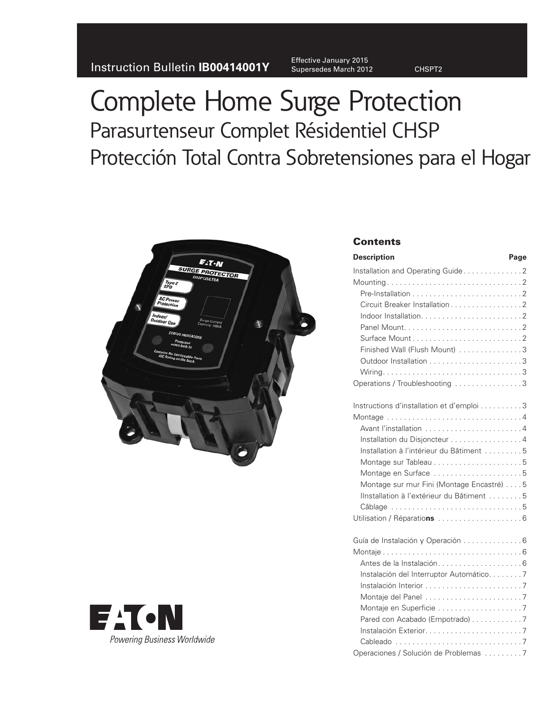Instruction Bulletin **IB00414001Y** Supersedes March 2012 CHSPT2

Effective January 2015

# Complete Home Surge Protection Parasurtenseur Complet Résidentiel CHSP Protección Total Contra Sobretensiones para el Hogar





### **Contents**

| <b>Description</b>                        | Page |
|-------------------------------------------|------|
| Installation and Operating Guide2         |      |
|                                           |      |
|                                           |      |
| Circuit Breaker Installation 2            |      |
|                                           |      |
|                                           |      |
| Surface Mount2                            |      |
| Finished Wall (Flush Mount) 3             |      |
|                                           |      |
|                                           |      |
| Operations / Troubleshooting 3            |      |
| Instructions d'installation et d'emploi 3 |      |
|                                           |      |
| Avant l'installation 4                    |      |
| Installation du Disjoncteur 4             |      |
| Installation à l'intérieur du Bâtiment 5  |      |
|                                           |      |
| Montage en Surface 5                      |      |
| Montage sur mur Fini (Montage Encastré) 5 |      |
| Ilnstallation à l'extérieur du Bâtiment 5 |      |
|                                           |      |
|                                           |      |
|                                           |      |
| Guía de Instalación y Operación  6        |      |
|                                           |      |
| Instalación del Interruptor Automático7   |      |
|                                           |      |
|                                           |      |
|                                           |      |
| Pared con Acabado (Empotrado) 7           |      |
|                                           |      |
|                                           |      |
| Operaciones / Solución de Problemas 7     |      |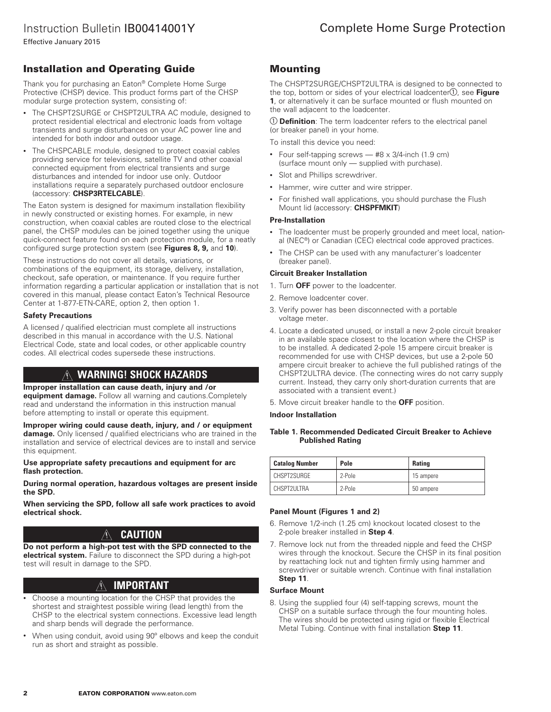Effective January 2015

### Installation and Operating Guide

Thank you for purchasing an Eaton® Complete Home Surge Protective (CHSP) device. This product forms part of the CHSP modular surge protection system, consisting of:

- The CHSPT2SURGE or CHSPT2ULTRA AC module, designed to protect residential electrical and electronic loads from voltage transients and surge disturbances on your AC power line and intended for both indoor and outdoor usage.
- The CHSPCABLE module, designed to protect coaxial cables providing service for televisions, satellite TV and other coaxial connected equipment from electrical transients and surge disturbances and intended for indoor use only. Outdoor installations require a separately purchased outdoor enclosure (accessory: **CHSP3RTELCABLE**).

The Eaton system is designed for maximum installation flexibility in newly constructed or existing homes. For example, in new construction, when coaxial cables are routed close to the electrical panel, the CHSP modules can be joined together using the unique quick-connect feature found on each protection module, for a neatly configured surge protection system (see **Figures 8, 9,** and **10**).

These instructions do not cover all details, variations, or combinations of the equipment, its storage, delivery, installation, checkout, safe operation, or maintenance. If you require further information regarding a particular application or installation that is not covered in this manual, please contact Eaton's Technical Resource Center at 1-877-ETN-CARE, option 2, then option 1.

### **Safety Precautions**

A licensed / qualified electrician must complete all instructions described in this manual in accordance with the U.S. National Electrical Code, state and local codes, or other applicable country codes. All electrical codes supersede these instructions.

### **WARNING! SHOCK HAZARDS**

#### **Improper installation can cause death, injury and /or**

**equipment damage.** Follow all warning and cautions.Completely read and understand the information in this instruction manual before attempting to install or operate this equipment.

**Improper wiring could cause death, injury, and / or equipment damage.** Only licensed / qualified electricians who are trained in the installation and service of electrical devices are to install and service this equipment.

**Use appropriate safety precautions and equipment for arc flash protection.**

**During normal operation, hazardous voltages are present inside the SPD.**

**When servicing the SPD, follow all safe work practices to avoid electrical shock.**

### **CAUTION**

**Do not perform a high-pot test with the SPD connected to the electrical system.** Failure to disconnect the SPD during a high-pot test will result in damage to the SPD.

### **IMPORTANT**

- Choose a mounting location for the CHSP that provides the shortest and straightest possible wiring (lead length) from the CHSP to the electrical system connections. Excessive lead length and sharp bends will degrade the performance.
- When using conduit, avoid using 90º elbows and keep the conduit run as short and straight as possible.

### Mounting

The CHSPT2SURGE/CHSPT2ULTRA is designed to be connected to the top, bottom or sides of your electrical loadcenter<sup>(1</sup>), see Figure **1**, or alternatively it can be surface mounted or flush mounted on the wall adjacent to the loadcenter.

 **Definition**: The term loadcenter refers to the electrical panel (or breaker panel) in your home.

To install this device you need:

- Four self-tapping screws  $-$  #8  $\times$  3/4-inch (1.9 cm) (surface mount only — supplied with purchase).
- Slot and Phillips screwdriver.
- Hammer, wire cutter and wire stripper.
- For finished wall applications, you should purchase the Flush Mount lid (accessory: **CHSPFMKIT**)

#### **Pre-Installation**

- The loadcenter must be properly grounded and meet local, national (NEC®) or Canadian (CEC) electrical code approved practices.
- The CHSP can be used with any manufacturer's loadcenter (breaker panel).

### **Circuit Breaker Installation**

- 1. Turn **OFF** power to the loadcenter.
- 2. Remove loadcenter cover.
- 3. Verify power has been disconnected with a portable voltage meter.
- 4. Locate a dedicated unused, or install a new 2-pole circuit breaker in an available space closest to the location where the CHSP is to be installed. A dedicated 2-pole 15 ampere circuit breaker is recommended for use with CHSP devices, but use a 2-pole 50 ampere circuit breaker to achieve the full published ratings of the CHSPT2ULTRA device. (The connecting wires do not carry supply current. Instead, they carry only short-duration currents that are associated with a transient event.)

5. Move circuit breaker handle to the **OFF** position.

#### **Indoor Installation**

#### **Table 1. Recommended Dedicated Circuit Breaker to Achieve Published Rating**

| <b>Catalog Number</b> | Pole   | <b>Rating</b> |
|-----------------------|--------|---------------|
| CHSPT2SURGE           | 2-Pole | 15 ampere     |
| CHSPT2ULTRA           | 2-Pole | 50 ampere     |

### **Panel Mount (Figures 1 and 2)**

- 6. Remove 1/2-inch (1.25 cm) knockout located closest to the 2-pole breaker installed in **Step 4**.
- 7. Remove lock nut from the threaded nipple and feed the CHSP wires through the knockout. Secure the CHSP in its final position by reattaching lock nut and tighten firmly using hammer and screwdriver or suitable wrench. Continue with final installation **Step 11**.

### **Surface Mount**

8. Using the supplied four (4) self-tapping screws, mount the CHSP on a suitable surface through the four mounting holes. The wires should be protected using rigid or flexible Electrical Metal Tubing. Continue with final installation **Step 11**.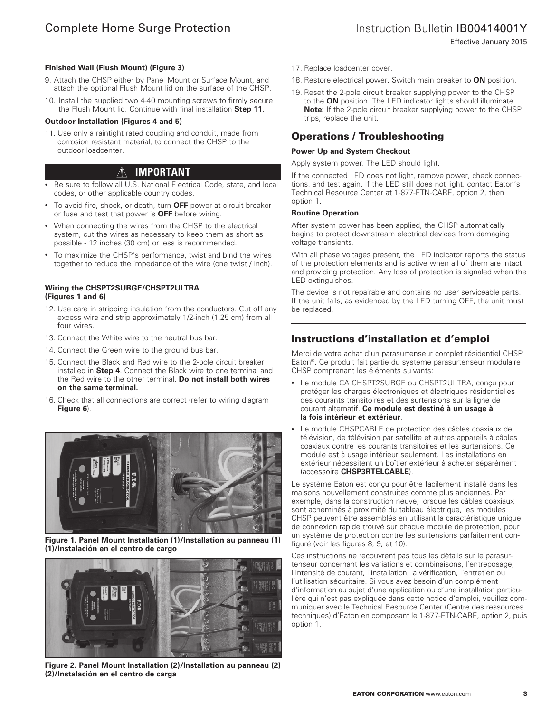Effective January 2015

### **Finished Wall (Flush Mount) (Figure 3)**

- 9. Attach the CHSP either by Panel Mount or Surface Mount, and attach the optional Flush Mount lid on the surface of the CHSP.
- 10. Install the supplied two 4-40 mounting screws to firmly secure the Flush Mount lid. Continue with final installation **Step 11**.

#### **Outdoor Installation (Figures 4 and 5)**

11. Use only a raintight rated coupling and conduit, made from corrosion resistant material, to connect the CHSP to the outdoor loadcenter.

#### ∕∖∖ **IMPORTANT**

- Be sure to follow all U.S. National Electrical Code, state, and local codes, or other applicable country codes.
- To avoid fire, shock, or death, turn **OFF** power at circuit breaker or fuse and test that power is **OFF** before wiring.
- When connecting the wires from the CHSP to the electrical system, cut the wires as necessary to keep them as short as possible - 12 inches (30 cm) or less is recommended.
- To maximize the CHSP's performance, twist and bind the wires together to reduce the impedance of the wire (one twist / inch).

#### **Wiring the CHSPT2SURGE/CHSPT2ULTRA (Figures 1 and 6)**

- 12. Use care in stripping insulation from the conductors. Cut off any excess wire and strip approximately 1/2-inch (1.25 cm) from all four wires.
- 13. Connect the White wire to the neutral bus bar.
- 14. Connect the Green wire to the ground bus bar.
- 15. Connect the Black and Red wire to the 2-pole circuit breaker installed in **Step 4**. Connect the Black wire to one terminal and the Red wire to the other terminal. **Do not install both wires on the same terminal.**
- 16. Check that all connections are correct (refer to wiring diagram **Figure 6**).



**Figure 1. Panel Mount Installation (1)/Installation au panneau (1) (1)/Instalación en el centro de cargo**



**Figure 2. Panel Mount Installation (2)/Installation au panneau (2) (2)/Instalación en el centro de carga**

- 17. Replace loadcenter cover.
- 18. Restore electrical power. Switch main breaker to **ON** position.
- 19. Reset the 2-pole circuit breaker supplying power to the CHSP to the **ON** position. The LED indicator lights should illuminate. **Note:** If the 2-pole circuit breaker supplying power to the CHSP trips, replace the unit.

### Operations / Troubleshooting

#### **Power Up and System Checkout**

Apply system power. The LED should light.

If the connected LED does not light, remove power, check connections, and test again. If the LED still does not light, contact Eaton's Technical Resource Center at 1-877-ETN-CARE, option 2, then option 1.

#### **Routine Operation**

After system power has been applied, the CHSP automatically begins to protect downstream electrical devices from damaging voltage transients.

With all phase voltages present, the LED indicator reports the status of the protection elements and is active when all of them are intact and providing protection. Any loss of protection is signaled when the LED extinguishes.

The device is not repairable and contains no user serviceable parts. If the unit fails, as evidenced by the LED turning OFF, the unit must be replaced.

### Instructions d'installation et d'emploi

Merci de votre achat d'un parasurtenseur complet résidentiel CHSP Eaton®. Ce produit fait partie du système parasurtenseur modulaire CHSP comprenant les éléments suivants:

- Le module CA CHSPT2SURGE ou CHSPT2ULTRA, conçu pour protéger les charges électroniques et électriques résidentielles des courants transitoires et des surtensions sur la ligne de courant alternatif. **Ce module est destiné à un usage à la fois intérieur et extérieur**.
- Le module CHSPCABLE de protection des câbles coaxiaux de télévision, de télévision par satellite et autres appareils à câbles coaxiaux contre les courants transitoires et les surtensions. Ce module est à usage intérieur seulement. Les installations en extérieur nécessitent un boîtier extérieur à acheter séparément (accessoire **CHSP3RTELCABLE**).

Le système Eaton est conçu pour être facilement installé dans les maisons nouvellement construites comme plus anciennes. Par exemple, dans la construction neuve, lorsque les câbles coaxiaux sont acheminés à proximité du tableau électrique, les modules CHSP peuvent être assemblés en utilisant la caractéristique unique de connexion rapide trouvé sur chaque module de protection, pour un système de protection contre les surtensions parfaitement configuré (voir les figures 8, 9, et 10).

Ces instructions ne recouvrent pas tous les détails sur le parasurtenseur concernant les variations et combinaisons, l'entreposage, l'intensité de courant, l'installation, la vérification, l'entretien ou l'utilisation sécuritaire. Si vous avez besoin d'un complément d'information au sujet d'une application ou d'une installation particulière qui n'est pas expliquée dans cette notice d'emploi, veuillez communiquer avec le Technical Resource Center (Centre des ressources techniques) d'Eaton en composant le 1-877-ETN-CARE, option 2, puis option 1.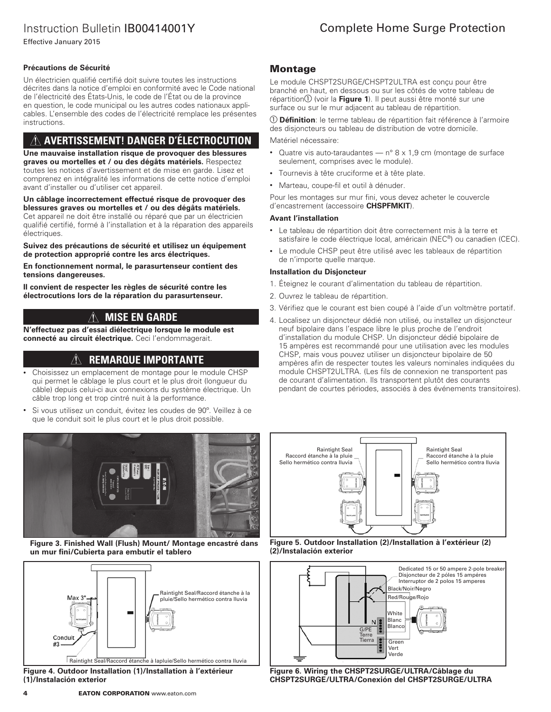# Instruction Bulletin IB00414001Y

Effective January 2015

### **Précautions de Sécurité**

Un électricien qualifié certifié doit suivre toutes les instructions décrites dans la notice d'emploi en conformité avec le Code national de l'électricité des États-Unis, le code de l'État ou de la province en question, le code municipal ou les autres codes nationaux applicables. L'ensemble des codes de l'électricité remplace les présentes instructions.

### **AVERTISSEMENT! DANGER D'ÉLECTROCUTION**

**Une mauvaise installation risque de provoquer des blessures graves ou mortelles et / ou des dégâts matériels.** Respectez toutes les notices d'avertissement et de mise en garde. Lisez et comprenez en intégralité les informations de cette notice d'emploi avant d'installer ou d'utiliser cet appareil.

**Un câblage incorrectement effectué risque de provoquer des blessures graves ou mortelles et / ou des dégâts matériels.** Cet appareil ne doit être installé ou réparé que par un électricien qualifié certifié, formé à l'installation et à la réparation des appareils électriques.

#### **Suivez des précautions de sécurité et utilisez un équipement de protection approprié contre les arcs électriques.**

**En fonctionnement normal, le parasurtenseur contient des tensions dangereuses.**

**Il convient de respecter les règles de sécurité contre les électrocutions lors de la réparation du parasurtenseur.**

#### **MISE EN GARDE**  $/$

**N'effectuez pas d'essai diélectrique lorsque le module est connecté au circuit électrique.** Ceci l'endommagerait.

### **REMARQUE IMPORTANTE**

- Choisissez un emplacement de montage pour le module CHSP qui permet le câblage le plus court et le plus droit (longueur du câble) depuis celui-ci aux connexions du système électrique. Un câble trop long et trop cintré nuit à la performance.
- Si vous utilisez un conduit, évitez les coudes de 90º. Veillez à ce que le conduit soit le plus court et le plus droit possible.



**Figure 3. Finished Wall (Flush) Mount/ Montage encastré dans un mur fini/Cubierta para embutir el tablero**



**Figure 4. Outdoor Installation (1)/Installation à l'extérieur (1)/Instalación exterior**

# Complete Home Surge Protection

### Montage

Le module CHSPT2SURGE/CHSPT2ULTRA est conçu pour être branché en haut, en dessous ou sur les côtés de votre tableau de répartition <sup>(1</sup>) (voir la **Figure 1**). Il peut aussi être monté sur une surface ou sur le mur adjacent au tableau de répartition.

 **Définition**: le terme tableau de répartition fait référence à l'armoire des disjoncteurs ou tableau de distribution de votre domicile.

Matériel nécessaire:

- Quatre vis auto-taraudantes  $-$  n° 8 x 1,9 cm (montage de surface seulement, comprises avec le module).
- Tournevis à tête cruciforme et à tête plate.
- Marteau, coupe-fil et outil à dénuder.

Pour les montages sur mur fini, vous devez acheter le couvercle d'encastrement (accessoire **CHSPFMKIT**).

#### **Avant l'installation**

- Le tableau de répartition doit être correctement mis à la terre et satisfaire le code électrique local, américain (NEC®) ou canadien (CEC).
- Le module CHSP peut être utilisé avec les tableaux de répartition de n'importe quelle marque.

### **Installation du Disjoncteur**

- 1. Éteignez le courant d'alimentation du tableau de répartition.
- 2. Ouvrez le tableau de répartition.
- 3. Vérifiez que le courant est bien coupé à l'aide d'un voltmètre portatif.
- 4. Localisez un disjoncteur dédié non utilisé, ou installez un disjoncteur neuf bipolaire dans l'espace libre le plus proche de l'endroit d'installation du module CHSP. Un disjoncteur dédié bipolaire de 15 ampères est recommandé pour une utilisation avec les modules CHSP, mais vous pouvez utiliser un disjoncteur bipolaire de 50 ampères afin de respecter toutes les valeurs nominales indiquées du module CHSPT2ULTRA. (Les fils de connexion ne transportent pas de courant d'alimentation. Ils transportent plutôt des courants pendant de courtes périodes, associés à des événements transitoires).







**Figure 6. Wiring the CHSPT2SURGE/ULTRA/Câblage du CHSPT2SURGE/ULTRA/Conexión del CHSPT2SURGE/ULTRA**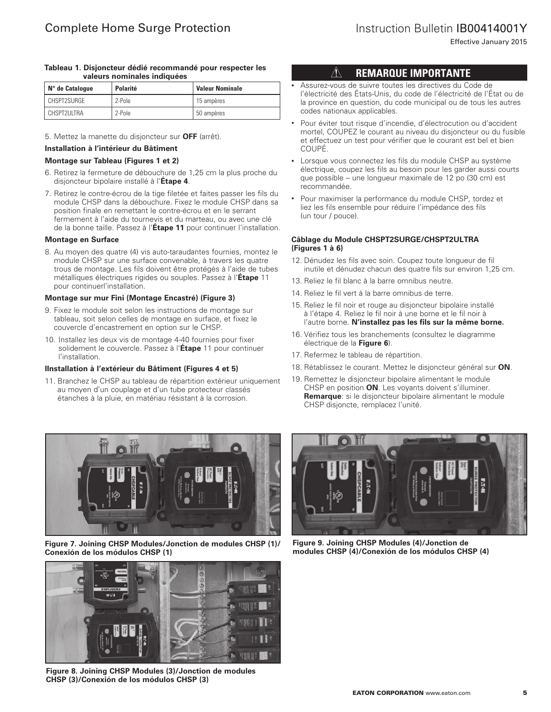### Instruction Bulletin IB00414001Y

Effective January 2015

#### **Tableau 1. Disjoncteur dédié recommandé pour respecter les valeurs nominales indiquées**

| N° de Catalogue | Polarité | <b>Valeur Nominale</b> |
|-----------------|----------|------------------------|
| CHSPT2SURGE     | 2-Pole   | 15 ampères             |
| CHSPT2ULTRA     | 2-Pole   | 50 ampères             |

5. Mettez la manette du disjoncteur sur **OFF** (arrêt).

### **Installation à l'intérieur du Bâtiment**

### **Montage sur Tableau (Figures 1 et 2)**

- 6. Retirez la fermeture de débouchure de 1,25 cm la plus proche du disjoncteur bipolaire installé à l'**Étape 4**.
- 7. Retirez le contre-écrou de la tige filetée et faites passer les fils du module CHSP dans la débouchure. Fixez le module CHSP dans sa position finale en remettant le contre-écrou et en le serrant fermement à l'aide du tournevis et du marteau, ou avec une clé de la bonne taille. Passez à l'**Étape 11** pour continuer l'installation.

#### **Montage en Surface**

8. Au moyen des quatre (4) vis auto-taraudantes fournies, montez le module CHSP sur une surface convenable, à travers les quatre trous de montage. Les fils doivent être protégés à l'aide de tubes métalliques électriques rigides ou souples. Passez à l'**Étape** 11 pour continuerl'installation.

#### **Montage sur mur Fini (Montage Encastré) (Figure 3)**

- 9. Fixez le module soit selon les instructions de montage sur tableau, soit selon celles de montage en surface, et fixez le couvercle d'encastrement en option sur le CHSP.
- 10. Installez les deux vis de montage 4-40 fournies pour fixer solidement le couvercle. Passez à l'**Étape** 11 pour continuer l'installation.

### **IInstallation à l'extérieur du Bâtiment (Figures 4 et 5)**

11. Branchez le CHSP au tableau de répartition extérieur uniquement au moyen d'un couplage et d'un tube protecteur classés étanches à la pluie, en matériau résistant à la corrosion.

## **REMARQUE IMPORTANTE**

- Assurez-vous de suivre toutes les directives du Code de l'électricité des États-Unis, du code de l'électricité de l'État ou de la province en question, du code municipal ou de tous les autres codes nationaux applicables.
- Pour éviter tout risque d'incendie, d'électrocution ou d'accident mortel, COUPEZ le courant au niveau du disjoncteur ou du fusible et effectuez un test pour vérifier que le courant est bel et bien COUPÉ.
- Lorsque vous connectez les fils du module CHSP au système électrique, coupez les fils au besoin pour les garder aussi courts que possible – une longueur maximale de 12 po (30 cm) est recommandée.
- Pour maximiser la performance du module CHSP, tordez et liez les fils ensemble pour réduire l'impédance des fils (un tour / pouce).

### **Câblage du Module CHSPT2SURGE/CHSPT2ULTRA (Figures 1 à 6)**

- 12. Dénudez les fils avec soin. Coupez toute longueur de fil inutile et dénudez chacun des quatre fils sur environ 1,25 cm.
- 13. Reliez le fil blanc à la barre omnibus neutre.
- 14. Reliez le fil vert à la barre omnibus de terre.
- 15. Reliez le fil noir et rouge au disjoncteur bipolaire installé à l'étape 4. Reliez le fil noir à une borne et le fil noir à l'autre borne. **N'installez pas les fils sur la même borne.**
- 16. Vérifiez tous les branchements (consultez le diagramme électrique de la **Figure 6**).
- 17. Refermez le tableau de répartition.
- 18. Rétablissez le courant. Mettez le disjoncteur général sur **ON**.
- 19. Remettez le disjoncteur bipolaire alimentant le module CHSP en position **ON**. Les voyants doivent s'illuminer. **Remarque**: si le disjoncteur bipolaire alimentant le module CHSP disjoncte, remplacez l'unité.



**Figure 7. Joining CHSP Modules/Jonction de modules CHSP (1)/ Conexión de los módulos CHSP (1)**



**Figure 8. Joining CHSP Modules (3)/Jonction de modules CHSP (3)/Conexión de los módulos CHSP (3)**



**Figure 9. Joining CHSP Modules (4)/Jonction de modules CHSP (4)/Conexión de los módulos CHSP (4)**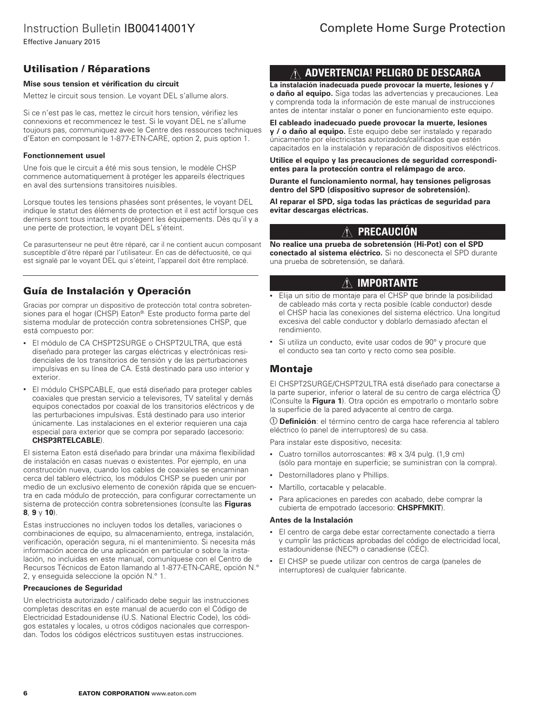### Instruction Bulletin IB00414001Y

Effective January 2015

### Utilisation / Réparations

### **Mise sous tension et vérification du circuit**

Mettez le circuit sous tension. Le voyant DEL s'allume alors.

Si ce n'est pas le cas, mettez le circuit hors tension, vérifiez les connexions et recommencez le test. Si le voyant DEL ne s'allume toujours pas, communiquez avec le Centre des ressources techniques d'Eaton en composant le 1-877-ETN-CARE, option 2, puis option 1.

### **Fonctionnement usuel**

Une fois que le circuit a été mis sous tension, le modèle CHSP commence automatiquement à protéger les appareils électriques en aval des surtensions transitoires nuisibles.

Lorsque toutes les tensions phasées sont présentes, le voyant DEL indique le statut des éléments de protection et il est actif lorsque ces derniers sont tous intacts et protègent les équipements. Dès qu'il y a une perte de protection, le voyant DEL s'éteint.

Ce parasurtenseur ne peut être réparé, car il ne contient aucun composant susceptible d'être réparé par l'utilisateur. En cas de défectuosité, ce qui est signalé par le voyant DEL qui s'éteint, l'appareil doit être remplacé.

### Guía de Instalación y Operación

Gracias por comprar un dispositivo de protección total contra sobretensiones para el hogar (CHSP) Eaton®. Este producto forma parte del sistema modular de protección contra sobretensiones CHSP, que está compuesto por:

- El módulo de CA CHSPT2SURGE o CHSPT2ULTRA, que está diseñado para proteger las cargas eléctricas y electrónicas residenciales de los transitorios de tensión y de las perturbaciones impulsivas en su línea de CA. Está destinado para uso interior y exterior.
- El módulo CHSPCABLE, que está diseñado para proteger cables coaxiales que prestan servicio a televisores, TV satelital y demás equipos conectados por coaxial de los transitorios eléctricos y de las perturbaciones impulsivas. Está destinado para uso interior únicamente. Las instalaciones en el exterior requieren una caja especial para exterior que se compra por separado (accesorio: **CHSP3RTELCABLE**).

El sistema Eaton está diseñado para brindar una máxima flexibilidad de instalación en casas nuevas o existentes. Por ejemplo, en una construcción nueva, cuando los cables de coaxiales se encaminan cerca del tablero eléctrico, los módulos CHSP se pueden unir por medio de un exclusivo elemento de conexión rápida que se encuentra en cada módulo de protección, para configurar correctamente un sistema de protección contra sobretensiones (consulte las **Figuras 8**, **9** y **10**).

Estas instrucciones no incluyen todos los detalles, variaciones o combinaciones de equipo, su almacenamiento, entrega, instalación, verificación, operación segura, ni el mantenimiento. Si necesita más información acerca de una aplicación en particular o sobre la instalación, no incluidas en este manual, comuníquese con el Centro de Recursos Técnicos de Eaton llamando al 1-877-ETN-CARE, opción N.° 2, y enseguida seleccione la opción N.° 1.

#### **Precauciones de Seguridad**

Un electricista autorizado / calificado debe seguir las instrucciones completas descritas en este manual de acuerdo con el Código de Electricidad Estadounidense (U.S. National Electric Code), los códigos estatales y locales, u otros códigos nacionales que correspondan. Todos los códigos eléctricos sustituyen estas instrucciones.

### **ADVERTENCIA! PELIGRO DE DESCARGA**

**La instalación inadecuada puede provocar la muerte, lesiones y / o daño al equipo.** Siga todas las advertencias y precauciones. Lea y comprenda toda la información de este manual de instrucciones antes de intentar instalar o poner en funcionamiento este equipo.

**El cableado inadecuado puede provocar la muerte, lesiones y / o daño al equipo.** Este equipo debe ser instalado y reparado únicamente por electricistas autorizados/calificados que estén capacitados en la instalación y reparación de dispositivos eléctricos.

**Utilice el equipo y las precauciones de seguridad correspondientes para la protección contra el relámpago de arco.**

**Durante el funcionamiento normal, hay tensiones peligrosas dentro del SPD (dispositivo supresor de sobretensión).**

**Al reparar el SPD, siga todas las prácticas de seguridad para evitar descargas eléctricas.**

#### **PRECAUCIÓN**  $\bigwedge$

**No realice una prueba de sobretensión (Hi-Pot) con el SPD conectado al sistema eléctrico.** Si no desconecta el SPD durante una prueba de sobretensión, se dañará.

### **IMPORTANTE**

- Elija un sitio de montaje para el CHSP que brinde la posibilidad de cableado más corta y recta posible (cable conductor) desde el CHSP hacia las conexiones del sistema eléctrico. Una longitud excesiva del cable conductor y doblarlo demasiado afectan el rendimiento.
- Si utiliza un conducto, evite usar codos de 90° y procure que el conducto sea tan corto y recto como sea posible.

### Montaje

El CHSPT2SURGE/CHSPT2ULTRA está diseñado para conectarse a la parte superior, inferior o lateral de su centro de carga eléctrica  $\mathbb O$ (Consulte la **Figura 1**). Otra opción es empotrarlo o montarlo sobre la superficie de la pared adyacente al centro de carga.

 **Definición**: el término centro de carga hace referencia al tablero eléctrico (o panel de interruptores) de su casa.

Para instalar este dispositivo, necesita:

- Cuatro tornillos autorroscantes: #8 x 3/4 pulg. (1,9 cm) (sólo para montaje en superficie; se suministran con la compra).
- Destornilladores plano y Phillips.
- Martillo, cortacable y pelacable.
- Para aplicaciones en paredes con acabado, debe comprar la cubierta de empotrado (accesorio: **CHSPFMKIT**).

#### **Antes de la Instalación**

- El centro de carga debe estar correctamente conectado a tierra y cumplir las prácticas aprobadas del código de electricidad local, estadounidense (NEC®) o canadiense (CEC).
- El CHSP se puede utilizar con centros de carga (paneles de interruptores) de cualquier fabricante.